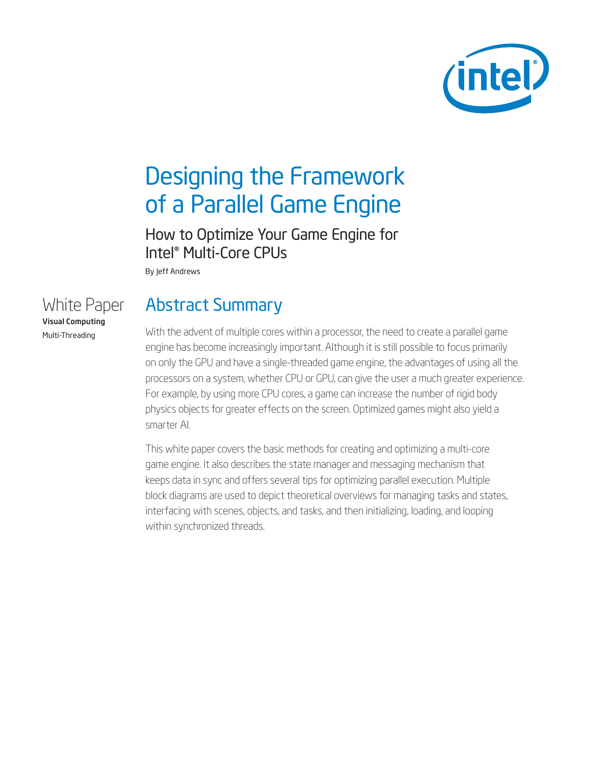

# Designing the Framework of a Parallel Game Engine

How to Optimize Your Game Engine for Intel® Multi-Core CPUs

By Jeff Andrews

## White Paper Visual Computing Multi-Threading

## Abstract Summary

With the advent of multiple cores within a processor, the need to create a parallel game engine has become increasingly important. Although it is still possible to focus primarily on only the GPU and have a single-threaded game engine, the advantages of using all the processors on a system, whether CPU or GPU, can give the user a much greater experience. For example, by using more CPU cores, a game can increase the number of rigid body physics objects for greater effects on the screen. Optimized games might also yield a smarter AI.

This white paper covers the basic methods for creating and optimizing a multi-core game engine. It also describes the state manager and messaging mechanism that keeps data in sync and offers several tips for optimizing parallel execution. Multiple block diagrams are used to depict theoretical overviews for managing tasks and states, interfacing with scenes, objects, and tasks, and then initializing, loading, and looping within synchronized threads.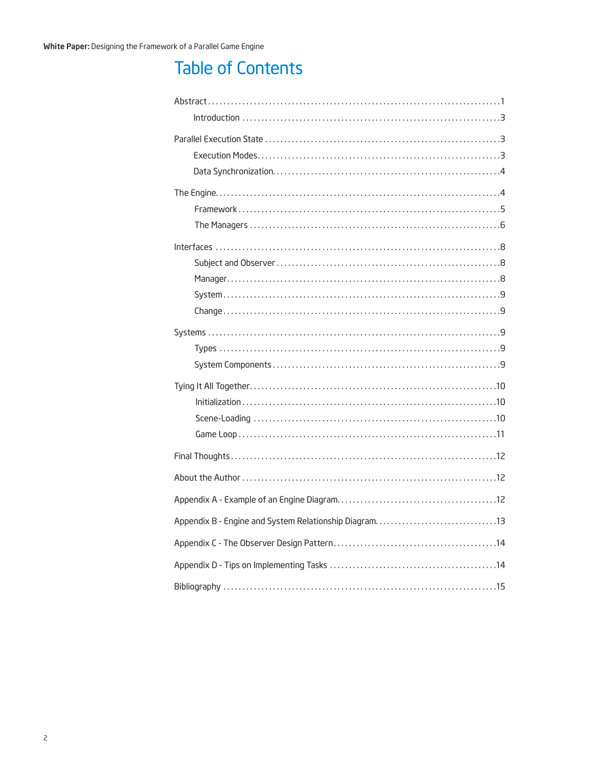## **Table of Contents**

| Appendix B - Engine and System Relationship Diagram13 |  |
|-------------------------------------------------------|--|
|                                                       |  |
|                                                       |  |
|                                                       |  |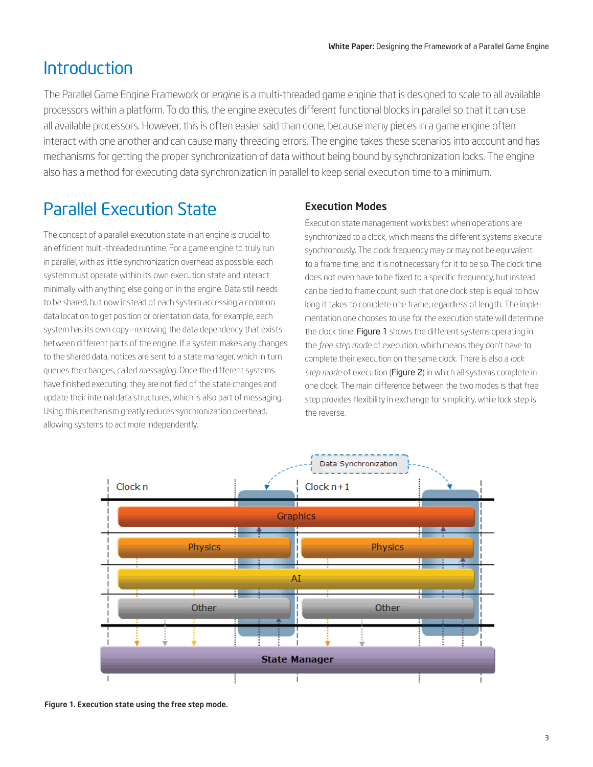## **Introduction**

The Parallel Game Engine Framework or *engine* is a multi-threaded game engine that is designed to scale to all available processors within a platform. To do this, the engine executes different functional blocks in parallel so that it can use all available processors. However, this is often easier said than done, because many pieces in a game engine often interact with one another and can cause many threading errors. The engine takes these scenarios into account and has mechanisms for getting the proper synchronization of data without being bound by synchronization locks. The engine also has a method for executing data synchronization in parallel to keep serial execution time to a minimum.

# Parallel Execution State

The concept of a parallel execution state in an engine is crucial to an efficient multi-threaded runtime. For a game engine to truly run in parallel, with as little synchronization overhead as possible, each system must operate within its own execution state and interact minimally with anything else going on in the engine. Data still needs to be shared, but now instead of each system accessing a common data location to get position or orientation data, for example, each system has its own copy—removing the data dependency that exists between different parts of the engine. If a system makes any changes to the shared data, notices are sent to a state manager, which in turn queues the changes, called *messaging*. Once the different systems have finished executing, they are notified of the state changes and update their internal data structures, which is also part of messaging. Using this mechanism greatly reduces synchronization overhead, allowing systems to act more independently.

## Execution Modes

Execution state management works best when operations are synchronized to a clock, which means the different systems execute synchronously. The clock frequency may or may not be equivalent to a frame time, and it is not necessary for it to be so. The clock time does not even have to be fixed to a specific frequency, but instead can be tied to frame count, such that one clock step is equal to how long it takes to complete one frame, regardless of length. The implementation one chooses to use for the execution state will determine the clock time. Figure 1 shows the different systems operating in the *free step mode* of execution, which means they don't have to complete their execution on the same clock. There is also a *lock step mode* of execution (Figure 2) in which all systems complete in one clock. The main difference between the two modes is that free step provides flexibility in exchange for simplicity, while lock step is the reverse.



Figure 1. Execution state using the free step mode.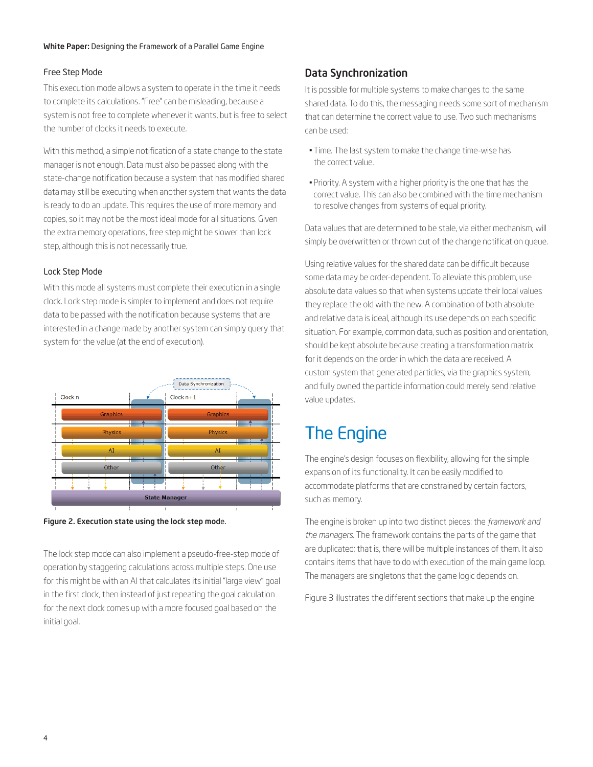### Free Step Mode

This execution mode allows a system to operate in the time it needs to complete its calculations. "Free" can be misleading, because a system is not free to complete whenever it wants, but is free to select the number of clocks it needs to execute.

With this method, a simple notification of a state change to the state manager is not enough. Data must also be passed along with the state-change notification because a system that has modified shared data may still be executing when another system that wants the data is ready to do an update. This requires the use of more memory and copies, so it may not be the most ideal mode for all situations. Given the extra memory operations, free step might be slower than lock step, although this is not necessarily true.

### Lock Step Mode

With this mode all systems must complete their execution in a single clock. Lock step mode is simpler to implement and does not require data to be passed with the notification because systems that are interested in a change made by another system can simply query that system for the value (at the end of execution).





The lock step mode can also implement a pseudo-free-step mode of operation by staggering calculations across multiple steps. One use for this might be with an AI that calculates its initial "large view" goal in the first clock, then instead of just repeating the goal calculation for the next clock comes up with a more focused goal based on the initial goal.

## Data Synchronization

It is possible for multiple systems to make changes to the same shared data. To do this, the messaging needs some sort of mechanism that can determine the correct value to use. Two such mechanisms can be used:

- Time. The last system to make the change time-wise has the correct value.
- Priority. A system with a higher priority is the one that has the correct value. This can also be combined with the time mechanism to resolve changes from systems of equal priority.

Data values that are determined to be stale, via either mechanism, will simply be overwritten or thrown out of the change notification queue.

Using relative values for the shared data can be difficult because some data may be order-dependent. To alleviate this problem, use absolute data values so that when systems update their local values they replace the old with the new. A combination of both absolute and relative data is ideal, although its use depends on each specific situation. For example, common data, such as position and orientation, should be kept absolute because creating a transformation matrix for it depends on the order in which the data are received. A custom system that generated particles, via the graphics system, and fully owned the particle information could merely send relative value updates.

## The Engine

The engine's design focuses on flexibility, allowing for the simple expansion of its functionality. It can be easily modified to accommodate platforms that are constrained by certain factors, such as memory.

The engine is broken up into two distinct pieces: the *framework and the managers*. The framework contains the parts of the game that are duplicated; that is, there will be multiple instances of them. It also contains items that have to do with execution of the main game loop. The managers are singletons that the game logic depends on.

Figure 3 illustrates the different sections that make up the engine.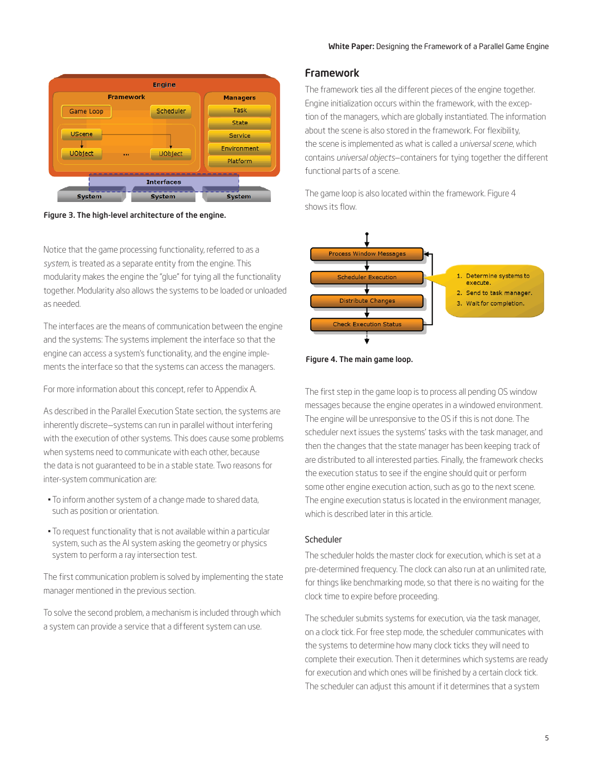

Figure 3. The high-level architecture of the engine.

Notice that the game processing functionality, referred to as a *system*, is treated as a separate entity from the engine. This modularity makes the engine the "glue" for tying all the functionality together. Modularity also allows the systems to be loaded or unloaded as needed.

The interfaces are the means of communication between the engine and the systems: The systems implement the interface so that the engine can access a system's functionality, and the engine implements the interface so that the systems can access the managers.

For more information about this concept, refer to Appendix A.

As described in the Parallel Execution State section, the systems are inherently discrete—systems can run in parallel without interfering with the execution of other systems. This does cause some problems when systems need to communicate with each other, because the data is not guaranteed to be in a stable state. Two reasons for inter-system communication are:

- To inform another system of a change made to shared data, such as position or orientation.
- To request functionality that is not available within a particular system, such as the AI system asking the geometry or physics system to perform a ray intersection test.

The first communication problem is solved by implementing the state manager mentioned in the previous section.

To solve the second problem, a mechanism is included through which a system can provide a service that a different system can use.

### Framework

The framework ties all the different pieces of the engine together. Engine initialization occurs within the framework, with the exception of the managers, which are globally instantiated. The information about the scene is also stored in the framework. For flexibility, the scene is implemented as what is called a *universal scene*, which contains *universal objects*—containers for tying together the different functional parts of a scene.

The game loop is also located within the framework. Figure 4 shows its flow.



Figure 4. The main game loop.

The first step in the game loop is to process all pending OS window messages because the engine operates in a windowed environment. The engine will be unresponsive to the OS if this is not done. The scheduler next issues the systems' tasks with the task manager, and then the changes that the state manager has been keeping track of are distributed to all interested parties. Finally, the framework checks the execution status to see if the engine should quit or perform some other engine execution action, such as go to the next scene. The engine execution status is located in the environment manager, which is described later in this article.

### Scheduler

The scheduler holds the master clock for execution, which is set at a pre-determined frequency. The clock can also run at an unlimited rate, for things like benchmarking mode, so that there is no waiting for the clock time to expire before proceeding.

The scheduler submits systems for execution, via the task manager, on a clock tick. For free step mode, the scheduler communicates with the systems to determine how many clock ticks they will need to complete their execution. Then it determines which systems are ready for execution and which ones will be finished by a certain clock tick. The scheduler can adjust this amount if it determines that a system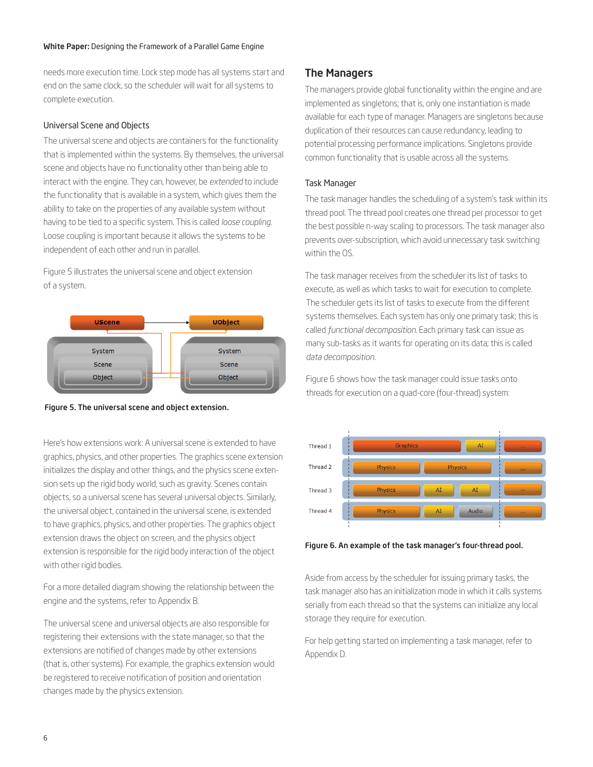needs more execution time. Lock step mode has all systems start and end on the same clock, so the scheduler will wait for all systems to complete execution.

### Universal Scene and Objects

The universal scene and objects are containers for the functionality that is implemented within the systems. By themselves, the universal scene and objects have no functionality other than being able to interact with the engine. They can, however, be *extended* to include the functionality that is available in a system, which gives them the ability to take on the properties of any available system without having to be tied to a specific system. This is called *loose coupling*. Loose coupling is important because it allows the systems to be independent of each other and run in parallel.

Figure 5 illustrates the universal scene and object extension of a system.





Here's how extensions work: A universal scene is extended to have graphics, physics, and other properties. The graphics scene extension initializes the display and other things, and the physics scene extension sets up the rigid body world, such as gravity. Scenes contain objects, so a universal scene has several universal objects. Similarly, the universal object, contained in the universal scene, is extended to have graphics, physics, and other properties. The graphics object extension draws the object on screen, and the physics object extension is responsible for the rigid body interaction of the object with other rigid bodies.

For a more detailed diagram showing the relationship between the engine and the systems, refer to Appendix B.

The universal scene and universal objects are also responsible for registering their extensions with the state manager, so that the extensions are notified of changes made by other extensions (that is, other systems). For example, the graphics extension would be registered to receive notification of position and orientation changes made by the physics extension.

### The Managers

The managers provide global functionality within the engine and are implemented as singletons; that is, only one instantiation is made available for each type of manager. Managers are singletons because duplication of their resources can cause redundancy, leading to potential processing performance implications. Singletons provide common functionality that is usable across all the systems.

### Task Manager

The task manager handles the scheduling of a system's task within its thread pool. The thread pool creates one thread per processor to get the best possible n-way scaling to processors. The task manager also prevents over-subscription, which avoid unnecessary task switching within the OS.

The task manager receives from the scheduler its list of tasks to execute, as well as which tasks to wait for execution to complete. The scheduler gets its list of tasks to execute from the different systems themselves. Each system has only one primary task; this is called *functional decomposition*. Each primary task can issue as many sub-tasks as it wants for operating on its data; this is called *data decomposition*.

Figure 6 shows how the task manager could issue tasks onto threads for execution on a quad-core (four-thread) system:



Figure 6. An example of the task manager's four-thread pool.

Aside from access by the scheduler for issuing primary tasks, the task manager also has an initialization mode in which it calls systems serially from each thread so that the systems can initialize any local storage they require for execution.

For help getting started on implementing a task manager, refer to Appendix D.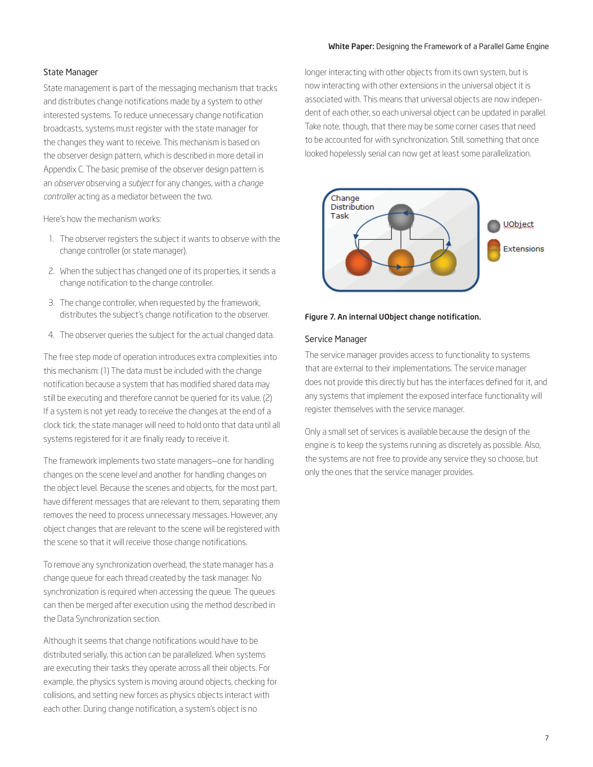### State Manager

State management is part of the messaging mechanism that tracks and distributes change notifications made by a system to other interested systems. To reduce unnecessary change notification broadcasts, systems must register with the state manager for the changes they want to receive. This mechanism is based on the observer design pattern, which is described in more detail in Appendix C. The basic premise of the observer design pattern is an *observer* observing a *subject* for any changes, with a *change controller* acting as a mediator between the two.

Here's how the mechanism works:

- 1. The observer registers the subject it wants to observe with the change controller (or state manager).
- 2. When the subject has changed one of its properties, it sends a change notification to the change controller.
- 3. The change controller, when requested by the framework, distributes the subject's change notification to the observer.
- 4. The observer queries the subject for the actual changed data.

The free step mode of operation introduces extra complexities into this mechanism: (1) The data must be included with the change notification because a system that has modified shared data may still be executing and therefore cannot be queried for its value. (2) If a system is not yet ready to receive the changes at the end of a clock tick, the state manager will need to hold onto that data until all systems registered for it are finally ready to receive it.

The framework implements two state managers—one for handling changes on the scene level and another for handling changes on the object level. Because the scenes and objects, for the most part, have different messages that are relevant to them, separating them removes the need to process unnecessary messages. However, any object changes that are relevant to the scene will be registered with the scene so that it will receive those change notifications.

To remove any synchronization overhead, the state manager has a change queue for each thread created by the task manager. No synchronization is required when accessing the queue. The queues can then be merged after execution using the method described in the Data Synchronization section.

Although it seems that change notifications would have to be distributed serially, this action can be parallelized. When systems are executing their tasks they operate across all their objects. For example, the physics system is moving around objects, checking for collisions, and setting new forces as physics objects interact with each other. During change notification, a system's object is no

longer interacting with other objects from its own system, but is now interacting with other extensions in the universal object it is associated with. This means that universal objects are now independent of each other, so each universal object can be updated in parallel. Take note, though, that there may be some corner cases that need to be accounted for with synchronization. Still, something that once looked hopelessly serial can now get at least some parallelization.



#### Figure 7. An internal UObject change notification.

### Service Manager

The service manager provides access to functionality to systems that are external to their implementations. The service manager does not provide this directly but has the interfaces defined for it, and any systems that implement the exposed interface functionality will register themselves with the service manager.

Only a small set of services is available because the design of the engine is to keep the systems running as discretely as possible. Also, the systems are not free to provide any service they so choose, but only the ones that the service manager provides.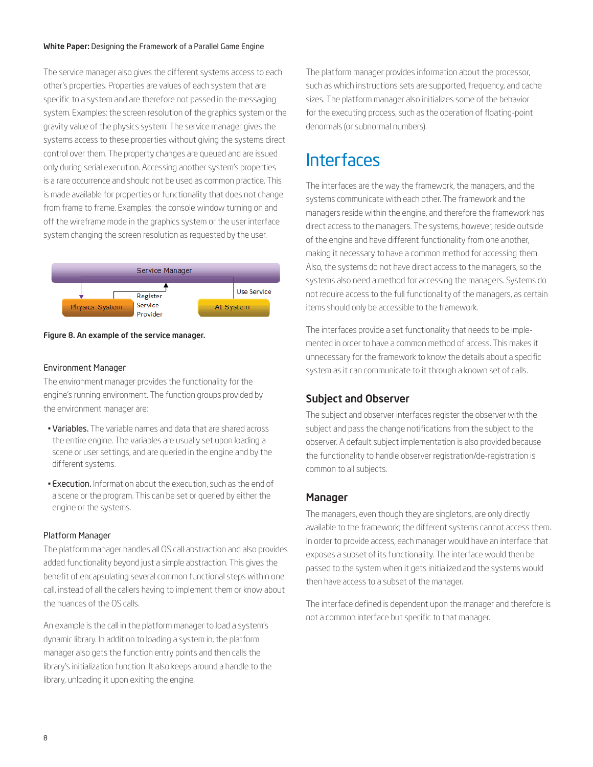The service manager also gives the different systems access to each other's properties. Properties are values of each system that are specific to a system and are therefore not passed in the messaging system. Examples: the screen resolution of the graphics system or the gravity value of the physics system. The service manager gives the systems access to these properties without giving the systems direct control over them. The property changes are queued and are issued only during serial execution. Accessing another system's properties is a rare occurrence and should not be used as common practice. This is made available for properties or functionality that does not change from frame to frame. Examples: the console window turning on and off the wireframe mode in the graphics system or the user interface system changing the screen resolution as requested by the user.



#### Figure 8. An example of the service manager.

### Environment Manager

The environment manager provides the functionality for the engine's running environment. The function groups provided by the environment manager are:

- Variables. The variable names and data that are shared across the entire engine. The variables are usually set upon loading a scene or user settings, and are queried in the engine and by the different systems.
- Execution. Information about the execution, such as the end of a scene or the program. This can be set or queried by either the engine or the systems.

### Platform Manager

The platform manager handles all OS call abstraction and also provides added functionality beyond just a simple abstraction. This gives the benefit of encapsulating several common functional steps within one call, instead of all the callers having to implement them or know about the nuances of the OS calls.

An example is the call in the platform manager to load a system's dynamic library. In addition to loading a system in, the platform manager also gets the function entry points and then calls the library's initialization function. It also keeps around a handle to the library, unloading it upon exiting the engine.

The platform manager provides information about the processor, such as which instructions sets are supported, frequency, and cache sizes. The platform manager also initializes some of the behavior for the executing process, such as the operation of floating-point denormals (or subnormal numbers).

## Interfaces

The interfaces are the way the framework, the managers, and the systems communicate with each other. The framework and the managers reside within the engine, and therefore the framework has direct access to the managers. The systems, however, reside outside of the engine and have different functionality from one another, making it necessary to have a common method for accessing them. Also, the systems do not have direct access to the managers, so the systems also need a method for accessing the managers. Systems do not require access to the full functionality of the managers, as certain items should only be accessible to the framework.

The interfaces provide a set functionality that needs to be implemented in order to have a common method of access. This makes it unnecessary for the framework to know the details about a specific system as it can communicate to it through a known set of calls.

### Subject and Observer

The subject and observer interfaces register the observer with the subject and pass the change notifications from the subject to the observer. A default subject implementation is also provided because the functionality to handle observer registration/de-registration is common to all subjects.

### Manager

The managers, even though they are singletons, are only directly available to the framework; the different systems cannot access them. In order to provide access, each manager would have an interface that exposes a subset of its functionality. The interface would then be passed to the system when it gets initialized and the systems would then have access to a subset of the manager.

The interface defined is dependent upon the manager and therefore is not a common interface but specific to that manager.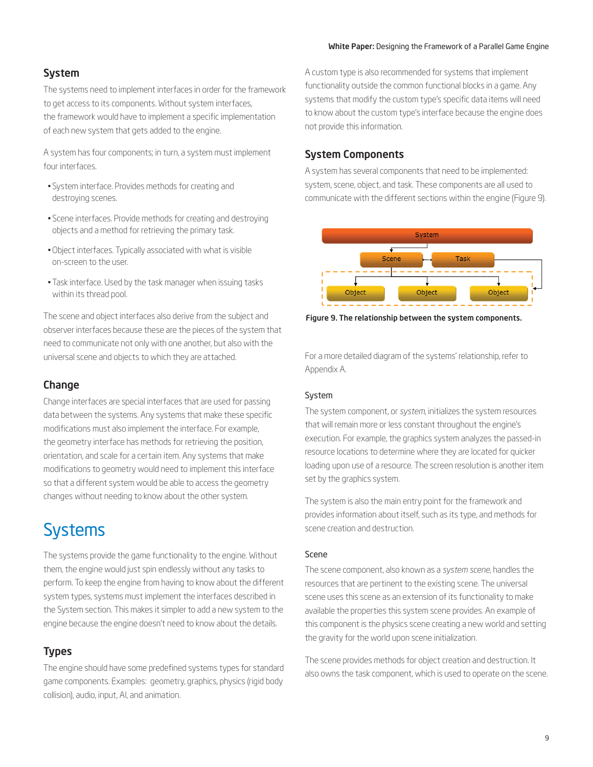## System

The systems need to implement interfaces in order for the framework to get access to its components. Without system interfaces, the framework would have to implement a specific implementation of each new system that gets added to the engine.

A system has four components; in turn, a system must implement four interfaces.

- System interface. Provides methods for creating and destroying scenes.
- Scene interfaces. Provide methods for creating and destroying objects and a method for retrieving the primary task.
- Object interfaces. Typically associated with what is visible on-screen to the user.
- Task interface. Used by the task manager when issuing tasks within its thread pool.

The scene and object interfaces also derive from the subject and observer interfaces because these are the pieces of the system that need to communicate not only with one another, but also with the universal scene and objects to which they are attached.

### **Change**

Change interfaces are special interfaces that are used for passing data between the systems. Any systems that make these specific modifications must also implement the interface. For example, the geometry interface has methods for retrieving the position, orientation, and scale for a certain item. Any systems that make modifications to geometry would need to implement this interface so that a different system would be able to access the geometry changes without needing to know about the other system.

# **Systems**

The systems provide the game functionality to the engine. Without them, the engine would just spin endlessly without any tasks to perform. To keep the engine from having to know about the different system types, systems must implement the interfaces described in the System section. This makes it simpler to add a new system to the engine because the engine doesn't need to know about the details.

### Types

The engine should have some predefined systems types for standard game components. Examples: geometry, graphics, physics (rigid body collision), audio, input, AI, and animation.

A custom type is also recommended for systems that implement functionality outside the common functional blocks in a game. Any systems that modify the custom type's specific data items will need to know about the custom type's interface because the engine does not provide this information.

### System Components

A system has several components that need to be implemented: system, scene, object, and task. These components are all used to communicate with the different sections within the engine (Figure 9).



Figure 9. The relationship between the system components.

For a more detailed diagram of the systems' relationship, refer to Appendix A.

### System

The system component, or *system*, initializes the system resources that will remain more or less constant throughout the engine's execution. For example, the graphics system analyzes the passed-in resource locations to determine where they are located for quicker loading upon use of a resource. The screen resolution is another item set by the graphics system.

The system is also the main entry point for the framework and provides information about itself, such as its type, and methods for scene creation and destruction.

### Scene

The scene component, also known as a *system scene*, handles the resources that are pertinent to the existing scene. The universal scene uses this scene as an extension of its functionality to make available the properties this system scene provides. An example of this component is the physics scene creating a new world and setting the gravity for the world upon scene initialization.

The scene provides methods for object creation and destruction. It also owns the task component, which is used to operate on the scene.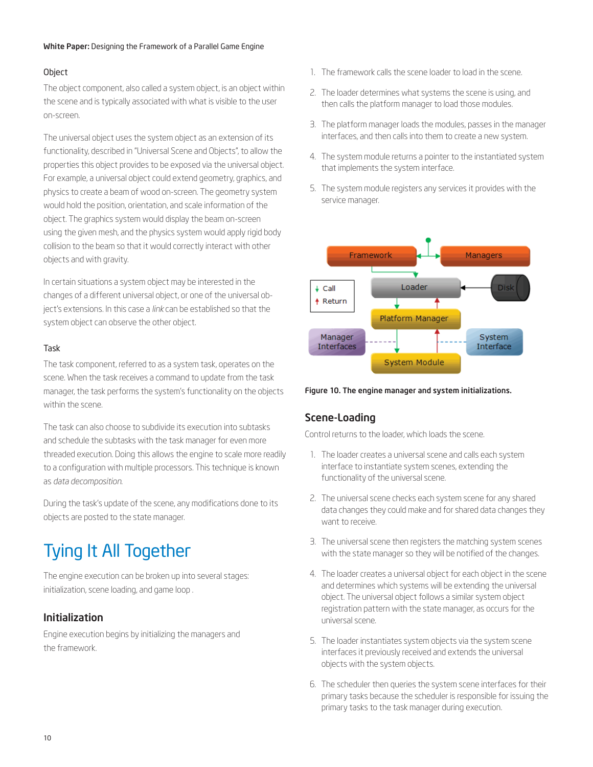### Object

The object component, also called a system object, is an object within the scene and is typically associated with what is visible to the user on-screen.

The universal object uses the system object as an extension of its functionality, described in "Universal Scene and Objects", to allow the properties this object provides to be exposed via the universal object. For example, a universal object could extend geometry, graphics, and physics to create a beam of wood on-screen. The geometry system would hold the position, orientation, and scale information of the object. The graphics system would display the beam on-screen using the given mesh, and the physics system would apply rigid body collision to the beam so that it would correctly interact with other objects and with gravity.

In certain situations a system object may be interested in the changes of a different universal object, or one of the universal object's extensions. In this case a *link* can be established so that the system object can observe the other object.

### Task

The task component, referred to as a system task, operates on the scene. When the task receives a command to update from the task manager, the task performs the system's functionality on the objects within the scene.

The task can also choose to subdivide its execution into subtasks and schedule the subtasks with the task manager for even more threaded execution. Doing this allows the engine to scale more readily to a configuration with multiple processors. This technique is known as *data decomposition*.

During the task's update of the scene, any modifications done to its objects are posted to the state manager.

# Tying It All Together

The engine execution can be broken up into several stages: initialization, scene loading, and game loop .

### Initialization

Engine execution begins by initializing the managers and the framework.

- 1. The framework calls the scene loader to load in the scene.
- 2. The loader determines what systems the scene is using, and then calls the platform manager to load those modules.
- 3. The platform manager loads the modules, passes in the manager interfaces, and then calls into them to create a new system.
- 4. The system module returns a pointer to the instantiated system that implements the system interface.
- 5. The system module registers any services it provides with the service manager.



Figure 10. The engine manager and system initializations.

### Scene-Loading

Control returns to the loader, which loads the scene.

- 1. The loader creates a universal scene and calls each system interface to instantiate system scenes, extending the functionality of the universal scene.
- 2. The universal scene checks each system scene for any shared data changes they could make and for shared data changes they want to receive.
- 3. The universal scene then registers the matching system scenes with the state manager so they will be notified of the changes.
- 4. The loader creates a universal object for each object in the scene and determines which systems will be extending the universal object. The universal object follows a similar system object registration pattern with the state manager, as occurs for the universal scene.
- 5. The loader instantiates system objects via the system scene interfaces it previously received and extends the universal objects with the system objects.
- 6. The scheduler then queries the system scene interfaces for their primary tasks because the scheduler is responsible for issuing the primary tasks to the task manager during execution.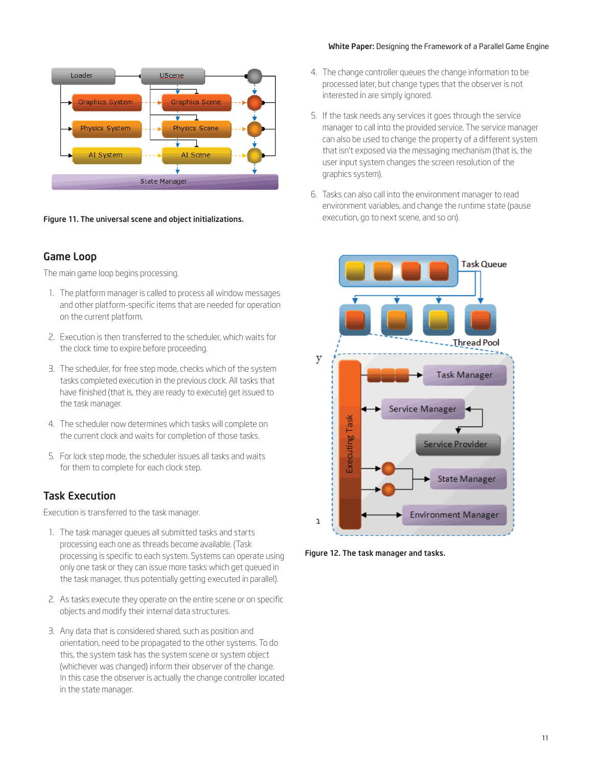

Figure 11. The universal scene and object initializations. **Execution**, go to next scene, and so on).

### Game Loop

The main game loop begins processing.

- 1. The platform manager is called to process all window messages and other platform-specific items that are needed for operation on the current platform.
- 2. Execution is then transferred to the scheduler, which waits for the clock time to expire before proceeding.
- 3. The scheduler, for free step mode, checks which of the system tasks completed execution in the previous clock. All tasks that have finished (that is, they are ready to execute) get issued to the task manager.
- 4. The scheduler now determines which tasks will complete on the current clock and waits for completion of those tasks.
- 5. For lock step mode, the scheduler issues all tasks and waits for them to complete for each clock step.

### Task Execution

Execution is transferred to the task manager.

- 1. The task manager queues all submitted tasks and starts processing each one as threads become available. (Task processing is specific to each system. Systems can operate using only one task or they can issue more tasks which get queued in the task manager, thus potentially getting executed in parallel).
- 2. As tasks execute they operate on the entire scene or on specific objects and modify their internal data structures.
- 3. Any data that is considered shared, such as position and orientation, need to be propagated to the other systems. To do this, the system task has the system scene or system object (whichever was changed) inform their observer of the change. In this case the observer is actually the change controller located in the state manager.
- 4. The change controller queues the change information to be processed later, but change types that the observer is not interested in are simply ignored.
- 5. If the task needs any services it goes through the service manager to call into the provided service. The service manager can also be used to change the property of a different system that isn't exposed via the messaging mechanism (that is, the user input system changes the screen resolution of the graphics system).
- 6. Tasks can also call into the environment manager to read environment variables, and change the runtime state (pause



Figure 12. The task manager and tasks.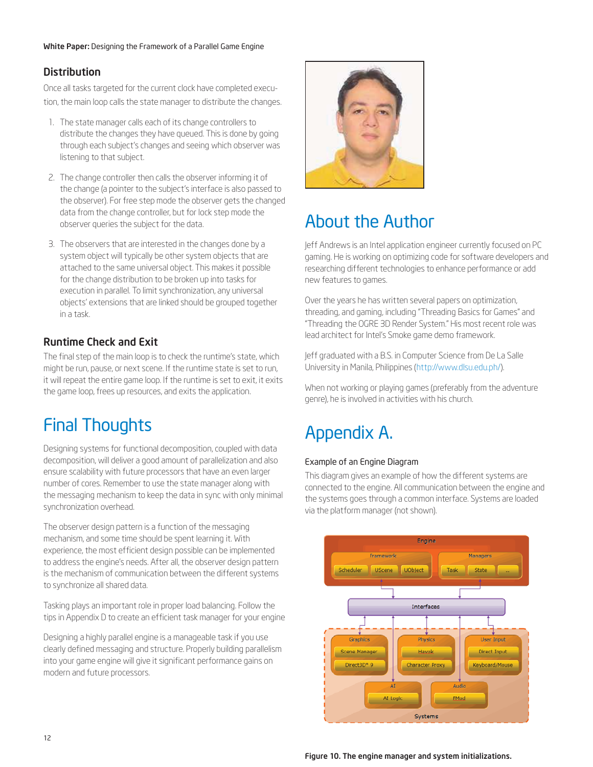## **Distribution**

Once all tasks targeted for the current clock have completed execution, the main loop calls the state manager to distribute the changes.

- 1. The state manager calls each of its change controllers to distribute the changes they have queued. This is done by going through each subject's changes and seeing which observer was listening to that subject.
- 2. The change controller then calls the observer informing it of the change (a pointer to the subject's interface is also passed to the observer). For free step mode the observer gets the changed data from the change controller, but for lock step mode the observer queries the subject for the data.
- 3. The observers that are interested in the changes done by a system object will typically be other system objects that are attached to the same universal object. This makes it possible for the change distribution to be broken up into tasks for execution in parallel. To limit synchronization, any universal objects' extensions that are linked should be grouped together in a task.

## Runtime Check and Exit

The final step of the main loop is to check the runtime's state, which might be run, pause, or next scene. If the runtime state is set to run, it will repeat the entire game loop. If the runtime is set to exit, it exits the game loop, frees up resources, and exits the application.

# Final Thoughts

Designing systems for functional decomposition, coupled with data decomposition, will deliver a good amount of parallelization and also ensure scalability with future processors that have an even larger number of cores. Remember to use the state manager along with the messaging mechanism to keep the data in sync with only minimal synchronization overhead.

The observer design pattern is a function of the messaging mechanism, and some time should be spent learning it. With experience, the most efficient design possible can be implemented to address the engine's needs. After all, the observer design pattern is the mechanism of communication between the different systems to synchronize all shared data.

Tasking plays an important role in proper load balancing. Follow the tips in Appendix D to create an efficient task manager for your engine

Designing a highly parallel engine is a manageable task if you use clearly defined messaging and structure. Properly building parallelism into your game engine will give it significant performance gains on modern and future processors.



## About the Author

Jeff Andrews is an Intel application engineer currently focused on PC gaming. He is working on optimizing code for software developers and researching different technologies to enhance performance or add new features to games.

Over the years he has written several papers on optimization, threading, and gaming, including "Threading Basics for Games" and "Threading the OGRE 3D Render System." His most recent role was lead architect for Intel's Smoke game demo framework.

Jeff graduated with a B.S. in Computer Science from De La Salle University in Manila, Philippines (http://www.dlsu.edu.ph/).

When not working or playing games (preferably from the adventure genre), he is involved in activities with his church.

# Appendix A.

### Example of an Engine Diagram

This diagram gives an example of how the different systems are connected to the engine. All communication between the engine and the systems goes through a common interface. Systems are loaded via the platform manager (not shown).



Figure 10. The engine manager and system initializations.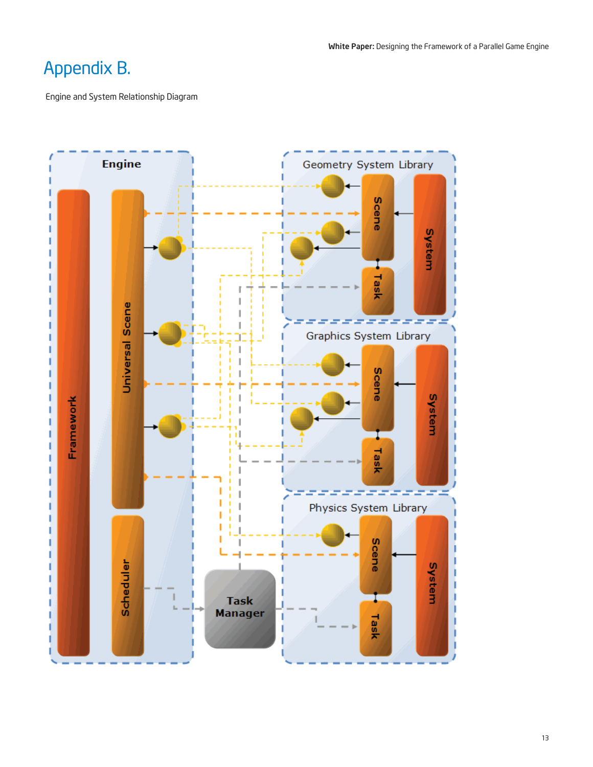## Appendix B.

Engine and System Relationship Diagram

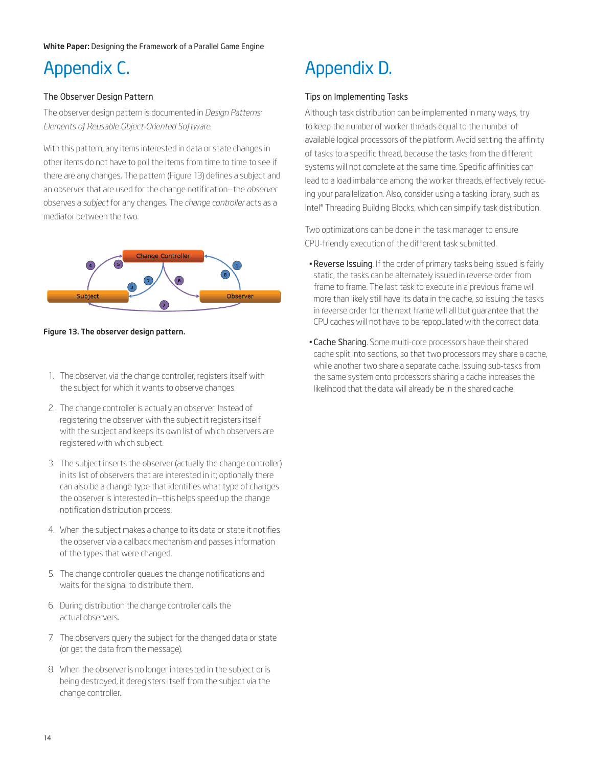# Appendix C.

### The Observer Design Pattern

The observer design pattern is documented in *Design Patterns: Elements of Reusable Object-Oriented Software*.

With this pattern, any items interested in data or state changes in other items do not have to poll the items from time to time to see if there are any changes. The pattern (Figure 13) defines a subject and an observer that are used for the change notification—the *observer* observes a *subject* for any changes. The *change controller* acts as a mediator between the two.



Figure 13. The observer design pattern.

- 1. The observer, via the change controller, registers itself with the subject for which it wants to observe changes.
- 2. The change controller is actually an observer. Instead of registering the observer with the subject it registers itself with the subject and keeps its own list of which observers are registered with which subject.
- 3. The subject inserts the observer (actually the change controller) in its list of observers that are interested in it; optionally there can also be a change type that identifies what type of changes the observer is interested in—this helps speed up the change notification distribution process.
- 4. When the subject makes a change to its data or state it notifies the observer via a callback mechanism and passes information of the types that were changed.
- 5. The change controller queues the change notifications and waits for the signal to distribute them.
- 6. During distribution the change controller calls the actual observers.
- 7. The observers query the subject for the changed data or state (or get the data from the message).
- 8. When the observer is no longer interested in the subject or is being destroyed, it deregisters itself from the subject via the change controller.

# Appendix D.

### Tips on Implementing Tasks

Although task distribution can be implemented in many ways, try to keep the number of worker threads equal to the number of available logical processors of the platform. Avoid setting the affinity of tasks to a specific thread, because the tasks from the different systems will not complete at the same time. Specific affinities can lead to a load imbalance among the worker threads, effectively reducing your parallelization. Also, consider using a tasking library, such as Intel® Threading Building Blocks, which can simplify task distribution.

Two optimizations can be done in the task manager to ensure CPU-friendly execution of the different task submitted.

- Reverse Issuing. If the order of primary tasks being issued is fairly static, the tasks can be alternately issued in reverse order from frame to frame. The last task to execute in a previous frame will more than likely still have its data in the cache, so issuing the tasks in reverse order for the next frame will all but guarantee that the CPU caches will not have to be repopulated with the correct data.
- **Cache Sharing**. Some multi-core processors have their shared cache split into sections, so that two processors may share a cache, while another two share a separate cache. Issuing sub-tasks from the same system onto processors sharing a cache increases the likelihood that the data will already be in the shared cache.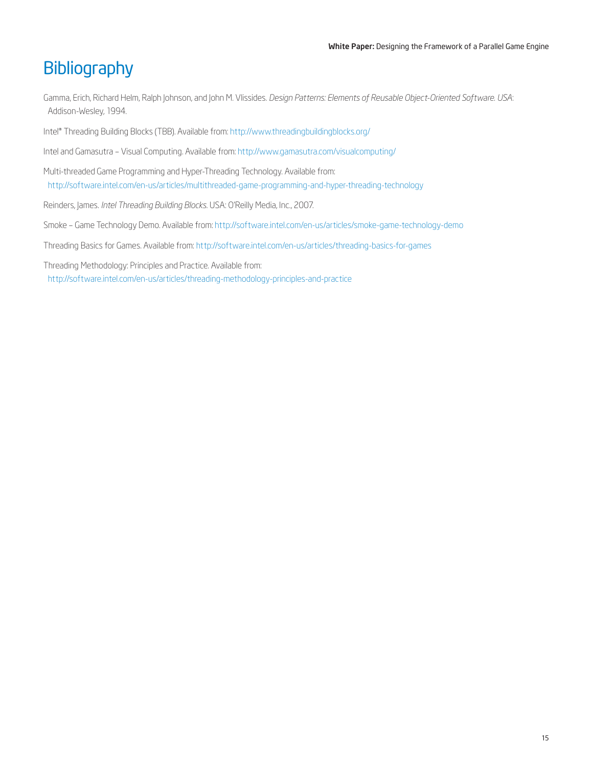## **Bibliography**

Gamma, Erich, Richard Helm, Ralph Johnson, and John M. Vlissides. *Design Patterns: Elements of Reusable Object-Oriented Software. USA*: Addison-Wesley, 1994.

Intel® Threading Building Blocks (TBB). Available from: http://www.threadingbuildingblocks.org/

Intel and Gamasutra – Visual Computing. Available from: http://www.gamasutra.com/visualcomputing/

Multi-threaded Game Programming and Hyper-Threading Technology. Available from: http://software.intel.com/en-us/articles/multithreaded-game-programming-and-hyper-threading-technology

Reinders, James. *Intel Threading Building Blocks*. USA: O'Reilly Media, Inc., 2007.

Smoke – Game Technology Demo. Available from: http://software.intel.com/en-us/articles/smoke-game-technology-demo

Threading Basics for Games. Available from: http://software.intel.com/en-us/articles/threading-basics-for-games

Threading Methodology: Principles and Practice. Available from: http://software.intel.com/en-us/articles/threading-methodology-principles-and-practice